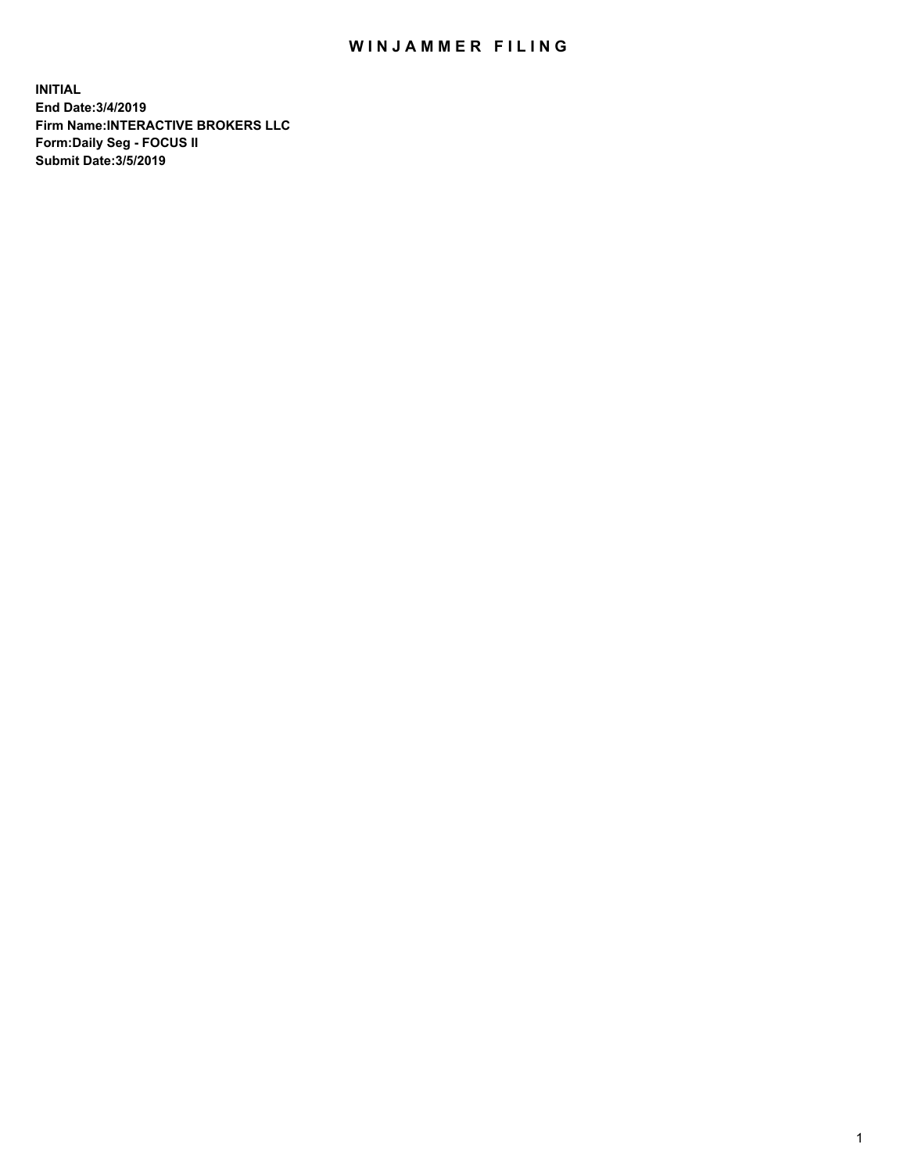## WIN JAMMER FILING

**INITIAL End Date:3/4/2019 Firm Name:INTERACTIVE BROKERS LLC Form:Daily Seg - FOCUS II Submit Date:3/5/2019**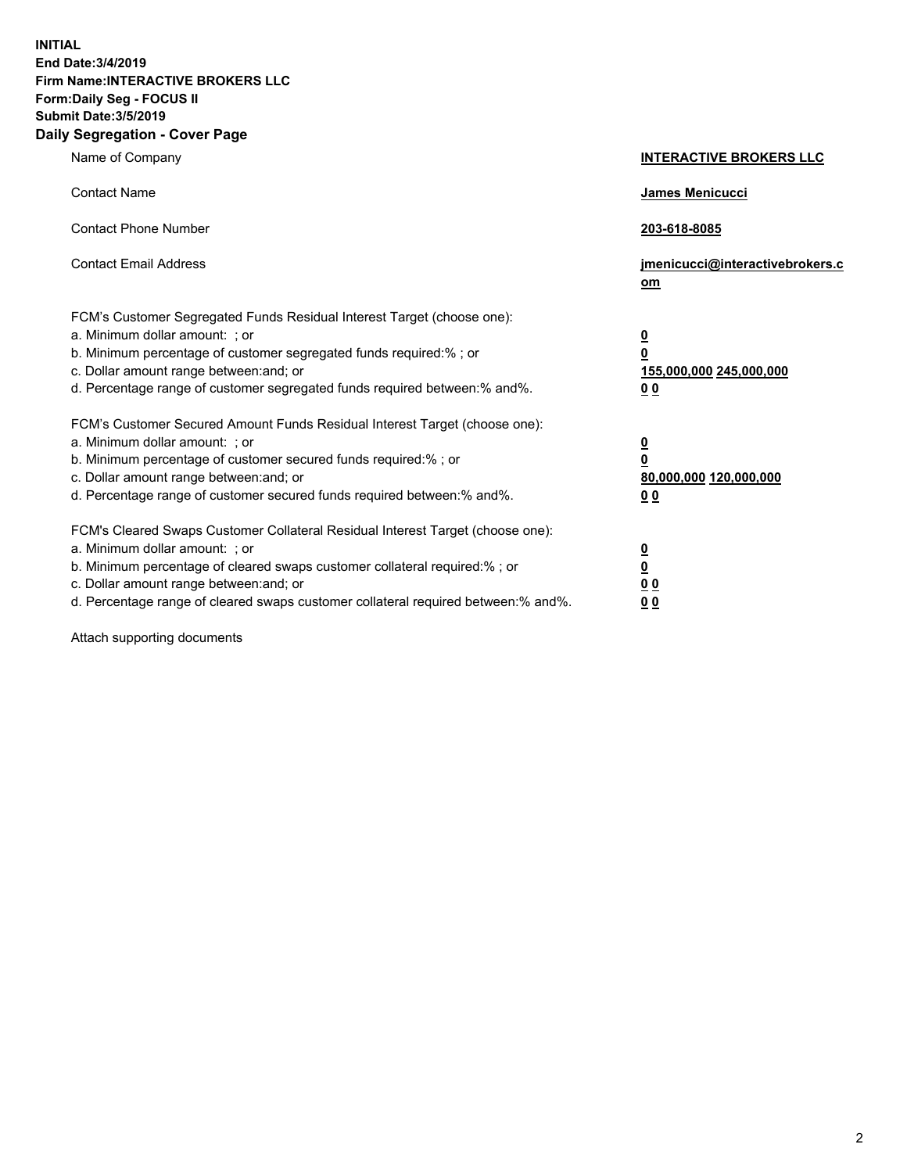**INITIAL End Date:3/4/2019 Firm Name:INTERACTIVE BROKERS LLC Form:Daily Seg - FOCUS II Submit Date:3/5/2019 Daily Segregation - Cover Page**

| Name of Company                                                                                                                                                                                                                                                                                                                | <b>INTERACTIVE BROKERS LLC</b>                                                      |
|--------------------------------------------------------------------------------------------------------------------------------------------------------------------------------------------------------------------------------------------------------------------------------------------------------------------------------|-------------------------------------------------------------------------------------|
| <b>Contact Name</b>                                                                                                                                                                                                                                                                                                            | James Menicucci                                                                     |
| <b>Contact Phone Number</b>                                                                                                                                                                                                                                                                                                    | 203-618-8085                                                                        |
| <b>Contact Email Address</b>                                                                                                                                                                                                                                                                                                   | jmenicucci@interactivebrokers.c<br>om                                               |
| FCM's Customer Segregated Funds Residual Interest Target (choose one):<br>a. Minimum dollar amount: ; or<br>b. Minimum percentage of customer segregated funds required:% ; or<br>c. Dollar amount range between: and; or<br>d. Percentage range of customer segregated funds required between:% and%.                         | $\overline{\mathbf{0}}$<br>$\overline{\mathbf{0}}$<br>155,000,000 245,000,000<br>00 |
| FCM's Customer Secured Amount Funds Residual Interest Target (choose one):<br>a. Minimum dollar amount: ; or<br>b. Minimum percentage of customer secured funds required:% ; or<br>c. Dollar amount range between: and; or<br>d. Percentage range of customer secured funds required between:% and%.                           | $\overline{\mathbf{0}}$<br>$\pmb{0}$<br>80,000,000 120,000,000<br>00                |
| FCM's Cleared Swaps Customer Collateral Residual Interest Target (choose one):<br>a. Minimum dollar amount: ; or<br>b. Minimum percentage of cleared swaps customer collateral required:% ; or<br>c. Dollar amount range between: and; or<br>d. Percentage range of cleared swaps customer collateral required between:% and%. | $\overline{\mathbf{0}}$<br>$\underline{\mathbf{0}}$<br>0 <sub>0</sub><br>00         |

Attach supporting documents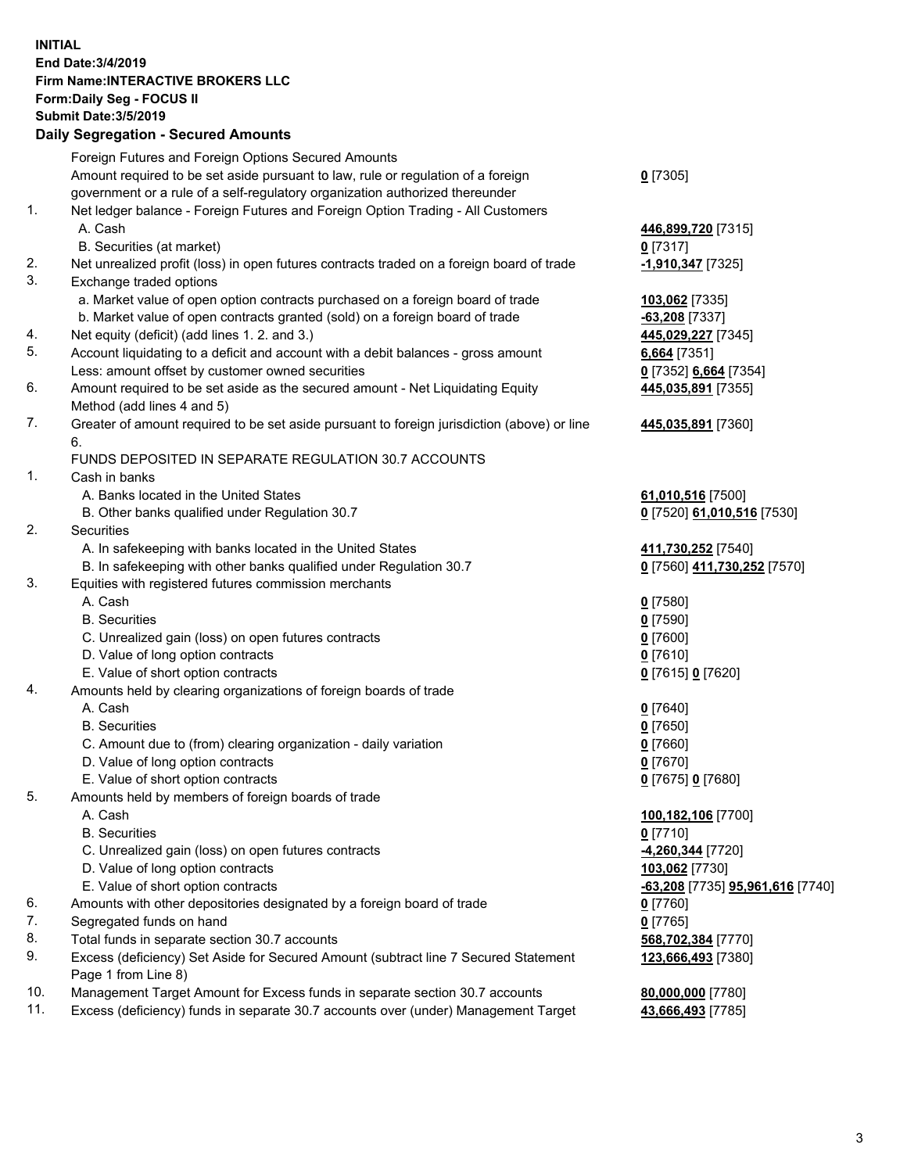## **INITIAL End Date:3/4/2019 Firm Name:INTERACTIVE BROKERS LLC Form:Daily Seg - FOCUS II Submit Date:3/5/2019 Daily Segregation - Secured Amounts**

|          | Pany Obyroganon Oboaroa Annoann                                                                              |                                                      |
|----------|--------------------------------------------------------------------------------------------------------------|------------------------------------------------------|
|          | Foreign Futures and Foreign Options Secured Amounts                                                          |                                                      |
|          | Amount required to be set aside pursuant to law, rule or regulation of a foreign                             | $0$ [7305]                                           |
|          | government or a rule of a self-regulatory organization authorized thereunder                                 |                                                      |
| 1.       | Net ledger balance - Foreign Futures and Foreign Option Trading - All Customers                              |                                                      |
|          | A. Cash                                                                                                      | 446,899,720 [7315]                                   |
|          | B. Securities (at market)                                                                                    | $0$ [7317]                                           |
| 2.       | Net unrealized profit (loss) in open futures contracts traded on a foreign board of trade                    | -1,910,347 [7325]                                    |
| 3.       | Exchange traded options                                                                                      |                                                      |
|          | a. Market value of open option contracts purchased on a foreign board of trade                               | 103,062 [7335]                                       |
|          | b. Market value of open contracts granted (sold) on a foreign board of trade                                 | $-63,208$ [7337]                                     |
| 4.       | Net equity (deficit) (add lines 1. 2. and 3.)                                                                | 445,029,227 [7345]                                   |
| 5.       | Account liquidating to a deficit and account with a debit balances - gross amount                            | 6,664 [7351]                                         |
| 6.       | Less: amount offset by customer owned securities                                                             | 0 [7352] 6,664 [7354]                                |
|          | Amount required to be set aside as the secured amount - Net Liquidating Equity<br>Method (add lines 4 and 5) | 445,035,891 [7355]                                   |
| 7.       | Greater of amount required to be set aside pursuant to foreign jurisdiction (above) or line                  | 445,035,891 [7360]                                   |
|          | 6.                                                                                                           |                                                      |
|          | FUNDS DEPOSITED IN SEPARATE REGULATION 30.7 ACCOUNTS                                                         |                                                      |
| 1.       | Cash in banks                                                                                                |                                                      |
|          | A. Banks located in the United States                                                                        | 61,010,516 [7500]                                    |
|          | B. Other banks qualified under Regulation 30.7                                                               | 0 [7520] 61,010,516 [7530]                           |
| 2.       | Securities                                                                                                   |                                                      |
|          | A. In safekeeping with banks located in the United States                                                    | 411,730,252 [7540]                                   |
|          | B. In safekeeping with other banks qualified under Regulation 30.7                                           | 0 [7560] 411,730,252 [7570]                          |
| 3.       | Equities with registered futures commission merchants                                                        |                                                      |
|          | A. Cash                                                                                                      | $0$ [7580]                                           |
|          | <b>B.</b> Securities                                                                                         | $0$ [7590]                                           |
|          | C. Unrealized gain (loss) on open futures contracts                                                          | $0$ [7600]                                           |
|          | D. Value of long option contracts                                                                            | $0$ [7610]                                           |
|          | E. Value of short option contracts                                                                           | 0 [7615] 0 [7620]                                    |
| 4.       | Amounts held by clearing organizations of foreign boards of trade                                            |                                                      |
|          | A. Cash                                                                                                      | $0$ [7640]                                           |
|          | <b>B.</b> Securities                                                                                         | $0$ [7650]                                           |
|          | C. Amount due to (from) clearing organization - daily variation                                              | $0$ [7660]                                           |
|          | D. Value of long option contracts                                                                            | $0$ [7670]                                           |
|          | E. Value of short option contracts                                                                           | 0 [7675] 0 [7680]                                    |
| 5.       | Amounts held by members of foreign boards of trade                                                           |                                                      |
|          | A. Cash                                                                                                      | 100,182,106 [7700]                                   |
|          | <b>B.</b> Securities                                                                                         | $0$ [7710]                                           |
|          | C. Unrealized gain (loss) on open futures contracts                                                          | -4,260,344 [7720]                                    |
|          | D. Value of long option contracts                                                                            | 103,062 [7730]                                       |
|          | E. Value of short option contracts                                                                           | <mark>-63,208</mark> [7735] <b>95,961,616</b> [7740] |
| 6.       | Amounts with other depositories designated by a foreign board of trade                                       | $0$ [7760]                                           |
| 7.       | Segregated funds on hand                                                                                     | $0$ [7765]                                           |
| 8.<br>9. | Total funds in separate section 30.7 accounts                                                                | 568,702,384 [7770]                                   |
|          | Excess (deficiency) Set Aside for Secured Amount (subtract line 7 Secured Statement<br>Page 1 from Line 8)   | 123,666,493 [7380]                                   |
| 10.      | Management Target Amount for Excess funds in separate section 30.7 accounts                                  | 80,000,000 [7780]                                    |
| 11.      | Excess (deficiency) funds in separate 30.7 accounts over (under) Management Target                           | 43,666,493 [7785]                                    |
|          |                                                                                                              |                                                      |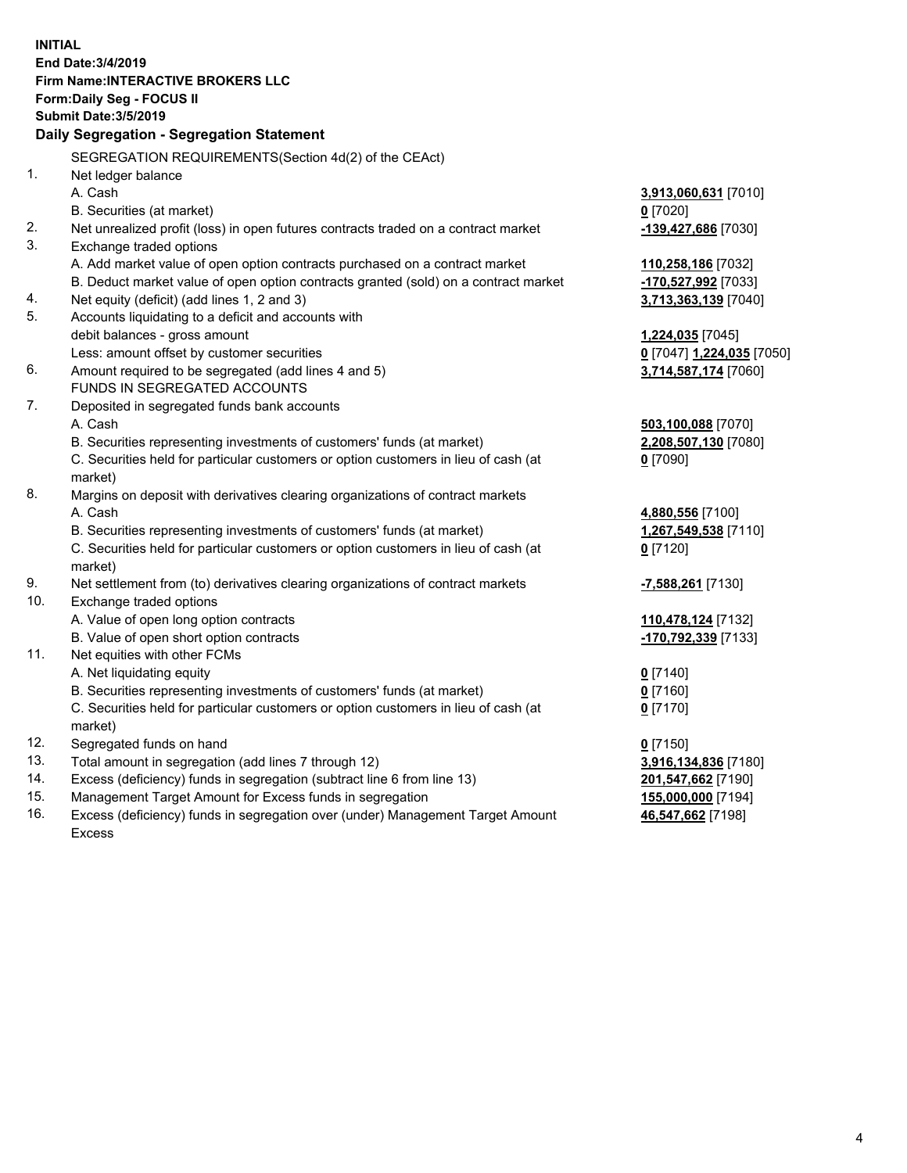|     | <b>INITIAL</b>                                                                                                                     |                                    |
|-----|------------------------------------------------------------------------------------------------------------------------------------|------------------------------------|
|     | End Date: 3/4/2019                                                                                                                 |                                    |
|     | Firm Name: INTERACTIVE BROKERS LLC                                                                                                 |                                    |
|     | Form: Daily Seg - FOCUS II                                                                                                         |                                    |
|     | <b>Submit Date: 3/5/2019</b>                                                                                                       |                                    |
|     | Daily Segregation - Segregation Statement                                                                                          |                                    |
|     |                                                                                                                                    |                                    |
| 1.  | SEGREGATION REQUIREMENTS(Section 4d(2) of the CEAct)                                                                               |                                    |
|     | Net ledger balance<br>A. Cash                                                                                                      |                                    |
|     |                                                                                                                                    | 3,913,060,631 [7010]<br>$0$ [7020] |
| 2.  | B. Securities (at market)                                                                                                          |                                    |
| 3.  | Net unrealized profit (loss) in open futures contracts traded on a contract market                                                 | -139,427,686 [7030]                |
|     | Exchange traded options                                                                                                            |                                    |
|     | A. Add market value of open option contracts purchased on a contract market                                                        | 110,258,186 [7032]                 |
| 4.  | B. Deduct market value of open option contracts granted (sold) on a contract market<br>Net equity (deficit) (add lines 1, 2 and 3) | -170,527,992 [7033]                |
| 5.  | Accounts liquidating to a deficit and accounts with                                                                                | 3,713,363,139 [7040]               |
|     | debit balances - gross amount                                                                                                      | 1,224,035 [7045]                   |
|     | Less: amount offset by customer securities                                                                                         | 0 [7047] 1,224,035 [7050]          |
| 6.  | Amount required to be segregated (add lines 4 and 5)                                                                               | 3,714,587,174 [7060]               |
|     | FUNDS IN SEGREGATED ACCOUNTS                                                                                                       |                                    |
| 7.  | Deposited in segregated funds bank accounts                                                                                        |                                    |
|     | A. Cash                                                                                                                            | 503,100,088 [7070]                 |
|     | B. Securities representing investments of customers' funds (at market)                                                             | 2,208,507,130 [7080]               |
|     | C. Securities held for particular customers or option customers in lieu of cash (at                                                | $0$ [7090]                         |
|     | market)                                                                                                                            |                                    |
| 8.  | Margins on deposit with derivatives clearing organizations of contract markets                                                     |                                    |
|     | A. Cash                                                                                                                            | 4,880,556 [7100]                   |
|     | B. Securities representing investments of customers' funds (at market)                                                             | 1,267,549,538 [7110]               |
|     | C. Securities held for particular customers or option customers in lieu of cash (at                                                | $0$ [7120]                         |
|     | market)                                                                                                                            |                                    |
| 9.  | Net settlement from (to) derivatives clearing organizations of contract markets                                                    | <mark>-7,588,261</mark> [7130]     |
| 10. | Exchange traded options                                                                                                            |                                    |
|     | A. Value of open long option contracts                                                                                             | 110,478,124 [7132]                 |
|     | B. Value of open short option contracts                                                                                            | -170,792,339 [7133]                |
| 11. | Net equities with other FCMs                                                                                                       |                                    |
|     | A. Net liquidating equity                                                                                                          | $0$ [7140]                         |
|     | B. Securities representing investments of customers' funds (at market)                                                             | $0$ [7160]                         |
|     | C. Securities held for particular customers or option customers in lieu of cash (at                                                | $0$ [7170]                         |
|     | market)                                                                                                                            |                                    |
| 12. | Segregated funds on hand                                                                                                           | $0$ [7150]                         |
| 13. | Total amount in segregation (add lines 7 through 12)                                                                               | 3,916,134,836 [7180]               |
| 14. | Excess (deficiency) funds in segregation (subtract line 6 from line 13)                                                            | 201,547,662 [7190]                 |
| 15. | Management Target Amount for Excess funds in segregation                                                                           | 155,000,000 [7194]                 |
| 16  | Exece (defigionar) fundo in cogregation over (under) Management Target Amount                                                      | <b>AC EAT CCO [7400]</b>           |

16. Excess (deficiency) funds in segregation over (under) Management Target Amount Excess

**46,547,662** [7198]